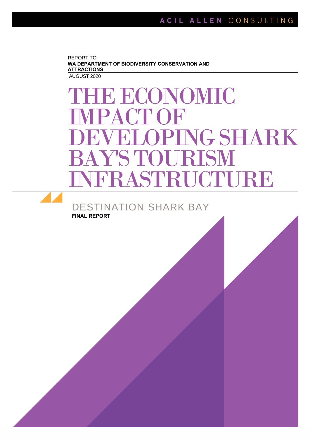REPORT TO **WA DEPARTMENT OF BIODIVERSITY CONSERVATION AND ATTRACTIONS** AUGUST 2020

DESTINATION SHARK BAY

**FINAL REPORT**

# THE ECONOMIC IMPACTOF DEVELOPINGSHARK BAY'S TOURISM INFRASTRUCTURE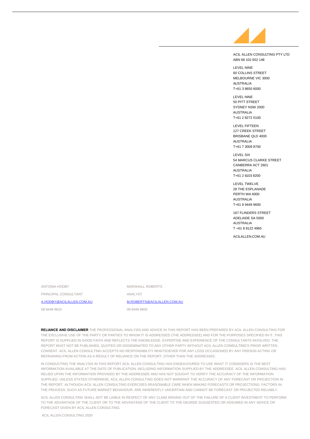

ACIL ALLEN CONSULTING PTY LTD ABN 68 102 652 148

LEVEL NINE 60 COLLINS STREET MELBOURNE VIC 3000 AUSTRALIA T+61 3 8650 6000

LEVEL NINE 50 PITT STREET SYDNEY NSW 2000 AUSTRALIA T+61 2 8272 5100

LEVEL FIFTEEN 127 CREEK STREET BRISBANE QLD 4000 AUSTRALIA T+61 7 3009 8700

LEVEL SIX 54 MARCUS CLARKE STREET CANBERRA ACT 2601 AUSTRALIA T+61 2 6103 8200

LEVEL TWELVE 28 THE ESPLANADE PERTH WA 6000 AUSTRALIA T+61 8 9449 9600

167 FLINDERS STREET ADELAIDE SA 5000 AUSTRALIA T +61 8 8122 4965

ACILALLEN.COM.AU

ANTONIA HODBY

PRINCIPAL CONSULTANT

[A.HODBY@ACILALLEN.COM.AU](mailto:a.hodby@acilallen.com.au)

08 9449 9610

MARSHALL ROBERTS ANALYST [M.ROBERTS@ACILALLEN.COM.AU](mailto:m.roberts@acilallen.com.au)

08 9449 9600

**RELIANCE AND DISCLAIMER** THE PROFESSIONAL ANALYSIS AND ADVICE IN THIS REPORT HAS BEEN PREPARED BY ACIL ALLEN CONSULTING FOR THE EXCLUSIVE USE OF THE PARTY OR PARTIES TO WHOM IT IS ADDRESSED (THE ADDRESSEE) AND FOR THE PURPOSES SPECIFIED IN IT. THIS REPORT IS SUPPLIED IN GOOD FAITH AND REFLECTS THE KNOWLEDGE, EXPERTISE AND EXPERIENCE OF THE CONSULTANTS INVOLVED. THE REPORT MUST NOT BE PUBLISHED, QUOTED OR DISSEMINATED TO ANY OTHER PARTY WITHOUT ACIL ALLEN CONSULTING'S PRIOR WRITTEN CONSENT. ACIL ALLEN CONSULTING ACCEPTS NO RESPONSIBILITY WHATSOEVER FOR ANY LOSS OCCASIONED BY ANY PERSON ACTING OR REFRAINING FROM ACTION AS A RESULT OF RELIANCE ON THE REPORT, OTHER THAN THE ADDRESSEE.

IN CONDUCTING THE ANALYSIS IN THIS REPORT ACIL ALLEN CONSULTING HAS ENDEAVOURED TO USE WHAT IT CONSIDERS IS THE BEST INFORMATION AVAILABLE AT THE DATE OF PUBLICATION, INCLUDING INFORMATION SUPPLIED BY THE ADDRESSEE. ACIL ALLEN CONSULTING HAS RELIED UPON THE INFORMATION PROVIDED BY THE ADDRESSEE AND HAS NOT SOUGHT TO VERIFY THE ACCURACY OF THE INFORMATION SUPPLIED. UNLESS STATED OTHERWISE, ACIL ALLEN CONSULTING DOES NOT WARRANT THE ACCURACY OF ANY FORECAST OR PROJECTION IN THE REPORT. ALTHOUGH ACIL ALLEN CONSULTING EXERCISES REASONABLE CARE WHEN MAKING FORECASTS OR PROJECTIONS, FACTORS IN THE PROCESS, SUCH AS FUTURE MARKET BEHAVIOUR, ARE INHERENTLY UNCERTAIN AND CANNOT BE FORECAST OR PROJECTED RELIABLY.

ACIL ALLEN CONSULTING SHALL NOT BE LIABLE IN RESPECT OF ANY CLAIM ARISING OUT OF THE FAILURE OF A CLIENT INVESTMENT TO PERFORM TO THE ADVANTAGE OF THE CLIENT OR TO THE ADVANTAGE OF THE CLIENT TO THE DEGREE SUGGESTED OR ASSUMED IN ANY ADVICE OR FORECAST GIVEN BY ACIL ALLEN CONSULTING.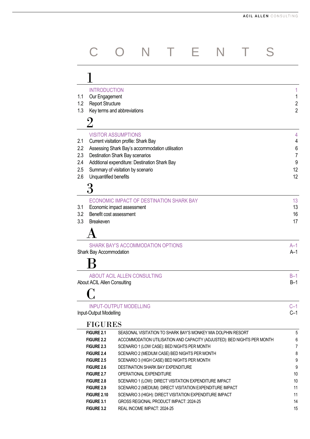|            | <b>INTRODUCTION</b>                                     |                                                 |                                                                         |  |                     |
|------------|---------------------------------------------------------|-------------------------------------------------|-------------------------------------------------------------------------|--|---------------------|
| 1.1        | Our Engagement                                          |                                                 |                                                                         |  | 1                   |
| 1.2<br>1.3 | <b>Report Structure</b><br>Key terms and abbreviations  |                                                 |                                                                         |  | 2<br>$\overline{2}$ |
|            |                                                         |                                                 |                                                                         |  |                     |
|            |                                                         |                                                 |                                                                         |  |                     |
|            | <b>VISITOR ASSUMPTIONS</b>                              |                                                 |                                                                         |  | 4                   |
| 2.1        |                                                         | Current visitation profile: Shark Bay           |                                                                         |  | 4                   |
| 2.2        |                                                         | Assessing Shark Bay's accommodation utilisation |                                                                         |  | 6                   |
| 2.3<br>2.4 | Destination Shark Bay scenarios                         | Additional expenditure: Destination Shark Bay   |                                                                         |  | 7<br>9              |
| 2.5        | Summary of visitation by scenario                       |                                                 |                                                                         |  | 12                  |
| 2.6        | Unquantified benefits                                   |                                                 |                                                                         |  | 12                  |
|            |                                                         |                                                 |                                                                         |  |                     |
|            |                                                         |                                                 |                                                                         |  |                     |
|            |                                                         | ECONOMIC IMPACT OF DESTINATION SHARK BAY        |                                                                         |  | 13                  |
| 3.1        | Economic impact assessment                              |                                                 |                                                                         |  | 13                  |
| 3.2        | Benefit cost assessment                                 |                                                 |                                                                         |  | 16                  |
| 3.3        | Breakeven                                               |                                                 |                                                                         |  | 17                  |
|            |                                                         |                                                 |                                                                         |  |                     |
|            |                                                         | <b>SHARK BAY'S ACCOMMODATION OPTIONS</b>        |                                                                         |  | $A-1$               |
|            | Shark Bay Accommodation                                 |                                                 |                                                                         |  | $A-1$               |
|            |                                                         |                                                 |                                                                         |  |                     |
|            |                                                         | <b>ABOUT ACIL ALLEN CONSULTING</b>              |                                                                         |  | $B-1$               |
|            | <b>About ACIL Allen Consulting</b>                      |                                                 |                                                                         |  | $B-1$               |
|            |                                                         |                                                 |                                                                         |  |                     |
|            |                                                         |                                                 |                                                                         |  |                     |
|            | <b>INPUT-OUTPUT MODELLING</b><br>Input-Output Modelling |                                                 |                                                                         |  | $C-1$<br>$C-1$      |
|            |                                                         |                                                 |                                                                         |  |                     |
|            | <b>FIGURES</b><br>FIGURE 2.1                            |                                                 | SEASONAL VISITATION TO SHARK BAY'S MONKEY MIA DOLPHIN RESORT            |  |                     |
|            | <b>FIGURE 2.2</b>                                       |                                                 | ACCOMMODATION UTILISATION AND CAPACITY (ADJUSTED): BED NIGHTS PER MONTH |  | 5<br>6              |
|            | <b>FIGURE 2.3</b>                                       |                                                 | SCENARIO 1 (LOW CASE): BED NIGHTS PER MONTH                             |  | 7                   |
|            | FIGURE 2.4                                              |                                                 | SCENARIO 2 (MEDIUM CASE) BED NIGHTS PER MONTH                           |  | 8                   |
|            | <b>FIGURE 2.5</b>                                       |                                                 | SCENARIO 3 (HIGH CASE) BED NIGHTS PER MONTH                             |  | 9                   |
|            | <b>FIGURE 2.6</b>                                       | DESTINATION SHARK BAY EXPENDITURE               |                                                                         |  | 9                   |
|            | <b>FIGURE 2.7</b>                                       | OPERATIONAL EXPENDITURE                         |                                                                         |  | 10                  |
|            | <b>FIGURE 2.8</b>                                       |                                                 | SCENARIO 1 (LOW): DIRECT VISITATION EXPENDITURE IMPACT                  |  | 10                  |
|            | <b>FIGURE 2.9</b>                                       |                                                 | SCENARIO 2 (MEDIUM): DIRECT VISITATION EXPENDITURE IMPACT               |  | 11                  |
|            | <b>FIGURE 2.10</b><br>FIGURE 3.1                        | GROSS REGIONAL PRODUCT IMPACT: 2024-25          | SCENARIO 3 (HIGH): DIRECT VISITATION EXPENDITURE IMPACT                 |  | 11<br>14            |
|            | FIGURE 3.2                                              | REAL INCOME IMPACT: 2024-25                     |                                                                         |  | 15                  |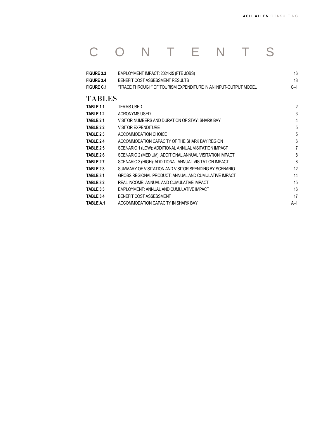## C O N T E N T S

| FIGURE 3.3        | EMPLOYMENT IMPACT: 2024-25 (FTE JOBS)                           | 16    |
|-------------------|-----------------------------------------------------------------|-------|
| FIGURE 3.4        | BENEFIT COST ASSESSMENT RESULTS                                 | 18    |
| <b>FIGURE C.1</b> | "TRACE THROUGH" OF TOURISM EXPENDITURE IN AN INPUT-OUTPUT MODEL | $C-1$ |
| <b>TABLES</b>     |                                                                 |       |
| TABLE 1.1         | <b>TERMS USED</b>                                               | 2     |
| TABLE 1.2         | <b>ACRONYMS USED</b>                                            | 3     |
| TABLE 2.1         | VISITOR NUMBERS AND DURATION OF STAY: SHARK BAY                 | 4     |
| TABLE 2.2         | <b>VISITOR EXPENDITURE</b>                                      | 5     |
| TABLE 2.3         | ACCOMMODATION CHOICE                                            | 5     |
| TABLE 2.4         | ACCOMMODATION CAPACITY OF THE SHARK BAY REGION                  | 6     |
| <b>TABLE 2.5</b>  | SCENARIO 1 (LOW): ADDITIONAL ANNUAL VISITATION IMPACT           | 7     |
| TABLE 2.6         | SCENARIO 2 (MEDIUM): ADDITIONAL ANNUAL VISITATION IMPACT        | 8     |
| TABLE 2.7         | SCENARIO 3 (HIGH): ADDITIONAL ANNUAL VISITATION IMPACT          | 8     |
| TABLE 2.8         | SUMMARY OF VISITATION AND VISITOR SPENDING BY SCENARIO          | 12    |
| TABLE 3.1         | GROSS REGIONAL PRODUCT: ANNUAL AND CUMULATIVE IMPACT            | 14    |
| TABLE 3.2         | REAL INCOME: ANNUAL AND CUMULATIVE IMPACT                       | 15    |
| TABLE 3.3         | EMPLOYMENT: ANNUAL AND CUMULATIVE IMPACT                        | 16    |
| TABLE 3.4         | BENEFIT COST ASSESSMENT                                         | 17    |
| <b>TABLE A.1</b>  | ACCOMMODATION CAPACITY IN SHARK BAY                             | $A-1$ |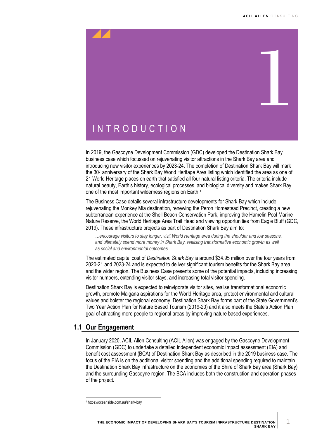<span id="page-4-0"></span>

<span id="page-4-1"></span>In 2019, the Gascoyne Development Commission (GDC) developed the Destination Shark Bay business case which focussed on rejuvenating visitor attractions in the Shark Bay area and introducing new visitor experiences by 2023-24. The completion of Destination Shark Bay will mark the  $30<sup>th</sup>$  anniversary of the Shark Bay World Heritage Area listing which identified the area as one of 21 World Heritage places on earth that satisfied all four natural listing criteria. The criteria include natural beauty, Earth's history, ecological processes, and biological diversity and makes Shark Bay one of the most important wilderness regions on Earth.<sup>1</sup>

The Business Case details several infrastructure developments for Shark Bay which include rejuvenating the Monkey Mia destination, renewing the Peron Homestead Precinct, creating a new subterranean experience at the Shell Beach Conservation Park, improving the Hamelin Pool Marine Nature Reserve, the World Heritage Area Trail Head and viewing opportunities from Eagle Bluff (GDC, 2019). These infrastructure projects as part of Destination Shark Bay aim to:

*…encourage visitors to stay longer, visit World Heritage area during the shoulder and low seasons, and ultimately spend more money in Shark Bay, realising transformative economic growth as well as social and environmental outcomes.*

The estimated capital cost of *Destination Shark Bay* is around \$34.95 million over the four years from 2020-21 and 2023-24 and is expected to deliver significant tourism benefits for the Shark Bay area and the wider region. The Business Case presents some of the potential impacts, including increasing visitor numbers, extending visitor stays, and increasing total visitor spending.

Destination Shark Bay is expected to reinvigorate visitor sites, realise transformational economic growth, promote Malgana aspirations for the World Heritage area, protect environmental and cultural values and bolster the regional economy. Destination Shark Bay forms part of the State Government's Two Year Action Plan for Nature Based Tourism (2019-20) and it also meets the State's Action Plan goal of attracting more people to regional areas by improving nature based experiences.

## <span id="page-4-2"></span>**1.1 Our Engagement**

In January 2020, ACIL Allen Consulting (ACIL Allen) was engaged by the Gascoyne Development Commission (GDC) to undertake a detailed independent economic impact assessment (EIA) and benefit cost assessment (BCA) of Destination Shark Bay as described in the 2019 business case. The focus of the EIA is on the additional visitor spending and the additional spending required to maintain the Destination Shark Bay infrastructure on the economies of the Shire of Shark Bay area (Shark Bay) and the surrounding Gascoyne region. The BCA includes both the construction and operation phases of the project.

1

<sup>1</sup> https://oceanside.com.au/shark-bay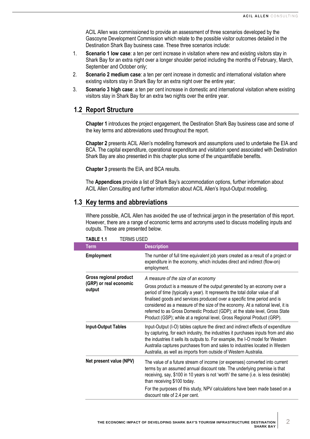ACIL Allen was commissioned to provide an assessment of three scenarios developed by the Gascoyne Development Commission which relate to the possible visitor outcomes detailed in the Destination Shark Bay business case. These three scenarios include:

- 1. **Scenario 1 low case**: a ten per cent increase in visitation where new and existing visitors stay in Shark Bay for an extra night over a longer shoulder period including the months of February, March, September and October only;
- 2. **Scenario 2 medium case**: a ten per cent increase in domestic and international visitation where existing visitors stay in Shark Bay for an extra night over the entire year;
- 3. **Scenario 3 high case**: a ten per cent increase in domestic and international visitation where existing visitors stay in Shark Bay for an extra two nights over the entire year.

## <span id="page-5-0"></span>**1.2 Report Structure**

**Chapter 1** introduces the project engagement, the Destination Shark Bay business case and some of the key terms and abbreviations used throughout the report.

**Chapter 2** presents ACIL Allen's modelling framework and assumptions used to undertake the EIA and BCA. The capital expenditure, operational expenditure and visitation spend associated with Destination Shark Bay are also presented in this chapter plus some of the unquantifiable benefits.

**Chapter 3** presents the EIA, and BCA results.

The **Appendices** provide a list of Shark Bay's accommodation options, further information about ACIL Allen Consulting and further information about ACIL Allen's Input-Output modelling.

## <span id="page-5-1"></span>**1.3 Key terms and abbreviations**

Where possible, ACIL Allen has avoided the use of technical jargon in the presentation of this report. However, there are a range of economic terms and acronyms used to discuss modelling inputs and outputs. These are presented below.

<span id="page-5-2"></span>

| TABLE 1.1<br><b>TERMS USED</b>   |                                                                                                                                                                                                                                                                                                                                                                                                                                                                                    |
|----------------------------------|------------------------------------------------------------------------------------------------------------------------------------------------------------------------------------------------------------------------------------------------------------------------------------------------------------------------------------------------------------------------------------------------------------------------------------------------------------------------------------|
| <b>Term</b>                      | <b>Description</b>                                                                                                                                                                                                                                                                                                                                                                                                                                                                 |
| <b>Employment</b>                | The number of full time equivalent job years created as a result of a project or<br>expenditure in the economy, which includes direct and indirect (flow-on)<br>employment.                                                                                                                                                                                                                                                                                                        |
| Gross regional product           | A measure of the size of an economy                                                                                                                                                                                                                                                                                                                                                                                                                                                |
| (GRP) or real economic<br>output | Gross product is a measure of the output generated by an economy over a<br>period of time (typically a year). It represents the total dollar value of all<br>finalised goods and services produced over a specific time period and is<br>considered as a measure of the size of the economy. At a national level, it is<br>referred to as Gross Domestic Product (GDP); at the state level, Gross State<br>Product (GSP); while at a regional level, Gross Regional Product (GRP). |
| <b>Input-Output Tables</b>       | Input-Output (I-O) tables capture the direct and indirect effects of expenditure<br>by capturing, for each industry, the industries it purchases inputs from and also<br>the industries it sells its outputs to. For example, the I-O model for Western<br>Australia captures purchases from and sales to industries located in Western<br>Australia, as well as imports from outside of Western Australia.                                                                        |
| Net present value (NPV)          | The value of a future stream of income (or expenses) converted into current<br>terms by an assumed annual discount rate. The underlying premise is that<br>receiving, say, \$100 in 10 years is not 'worth' the same (i.e. is less desirable)<br>than receiving \$100 today.                                                                                                                                                                                                       |
|                                  | For the purposes of this study, NPV calculations have been made based on a<br>discount rate of 2.4 per cent.                                                                                                                                                                                                                                                                                                                                                                       |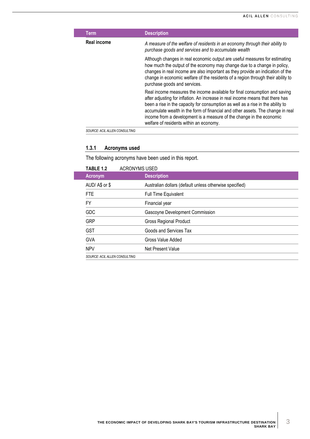| <b>Term</b>                   | <b>Description</b>                                                                                                                                                                                                                                                                                                                                                                                                                                    |
|-------------------------------|-------------------------------------------------------------------------------------------------------------------------------------------------------------------------------------------------------------------------------------------------------------------------------------------------------------------------------------------------------------------------------------------------------------------------------------------------------|
| <b>Real income</b>            | A measure of the welfare of residents in an economy through their ability to<br>purchase goods and services and to accumulate wealth                                                                                                                                                                                                                                                                                                                  |
|                               | Although changes in real economic output are useful measures for estimating<br>how much the output of the economy may change due to a change in policy,<br>changes in real income are also important as they provide an indication of the<br>change in economic welfare of the residents of a region through their ability to<br>purchase goods and services.                                                                                         |
|                               | Real income measures the income available for final consumption and saving<br>after adjusting for inflation. An increase in real income means that there has<br>been a rise in the capacity for consumption as well as a rise in the ability to<br>accumulate wealth in the form of financial and other assets. The change in real<br>income from a development is a measure of the change in the economic<br>welfare of residents within an economy. |
| SOURCE: ACIL ALLEN CONSULTING |                                                                                                                                                                                                                                                                                                                                                                                                                                                       |

## **1.3.1 Acronyms used**

The following acronyms have been used in this report.

<span id="page-6-0"></span>

| <b>TABLE 1.2</b>              | <b>ACRONYMS USED</b>                                    |
|-------------------------------|---------------------------------------------------------|
| <b>Acronym</b>                | <b>Description</b>                                      |
| AUD/A\$ or \$                 | Australian dollars (default unless otherwise specified) |
| <b>FTE</b>                    | <b>Full Time Equivalent</b>                             |
| FY.                           | Financial year                                          |
| <b>GDC</b>                    | Gascoyne Development Commission                         |
| <b>GRP</b>                    | <b>Gross Regional Product</b>                           |
| <b>GST</b>                    | Goods and Services Tax                                  |
| <b>GVA</b>                    | Gross Value Added                                       |
| <b>NPV</b>                    | Net Present Value                                       |
| SOURCE: ACIL ALLEN CONSULTING |                                                         |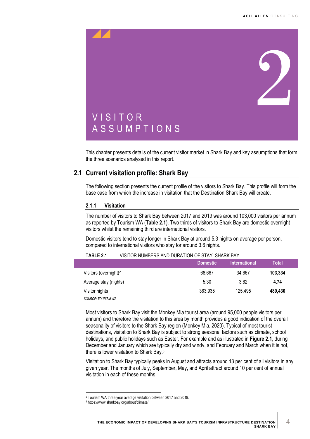<span id="page-7-0"></span>

<span id="page-7-1"></span>This chapter presents details of the current visitor market in Shark Bay and key assumptions that form the three scenarios analysed in this report.

## <span id="page-7-2"></span>**2.1 Current visitation profile: Shark Bay**

The following section presents the current profile of the visitors to Shark Bay. This profile will form the base case from which the increase in visitation that the Destination Shark Bay will create.

#### **2.1.1 Visitation**

The number of visitors to Shark Bay between 2017 and 2019 was around 103,000 visitors per annum as reported by Tourism WA (**[Table](#page-7-3) 2.1**). Two thirds of visitors to Shark Bay are domestic overnight visitors whilst the remaining third are international visitors.

Domestic visitors tend to stay longer in Shark Bay at around 5.3 nights on average per person, compared to international visitors who stay for around 3.6 nights.

|                                   | ∟Domestic <sup>।</sup> | <b>International</b> | Total   |
|-----------------------------------|------------------------|----------------------|---------|
| Visitors (overnight) <sup>2</sup> | 68.667                 | 34.667               | 103,334 |
| Average stay (nights)             | 5.30                   | 3.62                 | 4.74    |
| Visitor nights                    | 363.935                | 125.495              | 489,430 |
| SOURCE: TOURISM WA                |                        |                      |         |

#### <span id="page-7-3"></span>**TABLE 2.1** VISITOR NUMBERS AND DURATION OF STAY: SHARK BAY

Most visitors to Shark Bay visit the Monkey Mia tourist area (around 95,000 people visitors per annum) and therefore the visitation to this area by month provides a good indication of the overall seasonality of visitors to the Shark Bay region (Monkey Mia, 2020). Typical of most tourist destinations, visitation to Shark Bay is subject to strong seasonal factors such as climate, school holidays, and public holidays such as Easter. For example and as illustrated in **[Figure](#page-8-0) 2.1**, during December and January which are typically dry and windy, and February and March when it is hot, there is lower visitation to Shark Bay.<sup>3</sup>

Visitation to Shark Bay typically peaks in August and attracts around 13 per cent of all visitors in any given year. The months of July, September, May, and April attract around 10 per cent of annual visitation in each of these months.

<sup>2</sup> Tourism WA three year average visitation between 2017 and 2019.

<sup>3</sup> https://www.sharkbay.org/about/climate/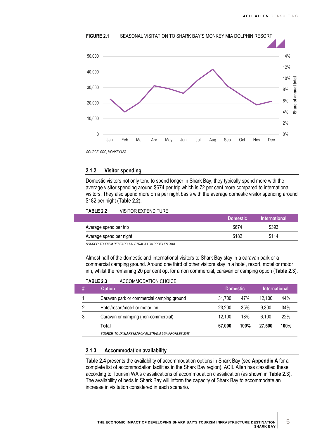<span id="page-8-0"></span>

## **FIGURE 2.1** SEASONAL VISITATION TO SHARK BAY'S MONKEY MIA DOLPHIN RESORT

#### **2.1.2 Visitor spending**

Domestic visitors not only tend to spend longer in Shark Bay, they typically spend more with the average visitor spending around \$674 per trip which is 72 per cent more compared to international visitors. They also spend more on a per night basis with the average domestic visitor spending around \$182 per night (**[Table](#page-8-1) 2.2**).

#### <span id="page-8-1"></span>**TABLE 2.2** VISITOR EXPENDITURE

|                                                      | <b>Domestic</b> | <b>International</b> |
|------------------------------------------------------|-----------------|----------------------|
| Average spend per trip                               | \$674           | \$393                |
| Average spend per night                              | \$182           | \$114                |
| SOURCE: TOURISM RESEARCH AUSTRALIA LGA PROFILES 2018 |                 |                      |

Almost half of the domestic and international visitors to Shark Bay stay in a caravan park or a commercial camping ground. Around one third of other visitors stay in a hotel, resort, motel or motor inn, whilst the remaining 20 per cent opt for a non commercial, caravan or camping option (**[Table](#page-8-2) 2.3**).

#### <span id="page-8-2"></span>**TABLE 2.3** ACCOMMODATION CHOICE

| # | <b>Option</b>                                        | <b>Domestic</b>                  |     | <b>International</b> |     |  |  |  |  |
|---|------------------------------------------------------|----------------------------------|-----|----------------------|-----|--|--|--|--|
|   | Caravan park or commercial camping ground            | 31.700                           | 47% | 12.100               | 44% |  |  |  |  |
| っ | Hotel/resort/motel or motor inn                      | 23.200                           | 35% | 9.300                | 34% |  |  |  |  |
| 3 | Caravan or camping (non-commercial)                  | 12.100                           | 18% | 6.100                | 22% |  |  |  |  |
|   | Total                                                | 100%<br>100%<br>67.000<br>27,500 |     |                      |     |  |  |  |  |
|   | SOURCE: TOURISM RESEARCH AUSTRALIA LGA PROFILES 2018 |                                  |     |                      |     |  |  |  |  |

#### **2.1.3 Accommodation availability**

**[Table](#page-9-2) 2.4** presents the availability of accommodation options in Shark Bay (see **Appendix A** for a complete list of accommodation facilities in the Shark Bay region). ACIL Allen has classified these according to Tourism WA's classifications of accommodation classification (as shown in **[Table](#page-8-2) 2.3**). The availability of beds in Shark Bay will inform the capacity of Shark Bay to accommodate an increase in visitation considered in each scenario.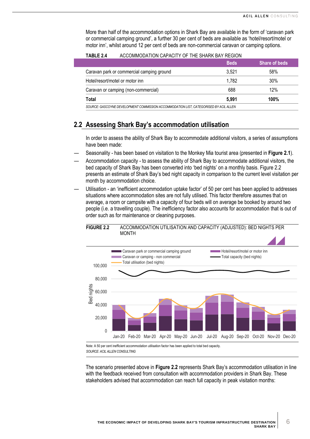More than half of the accommodation options in Shark Bay are available in the form of 'caravan park or commercial camping ground', a further 30 per cent of beds are available as 'hotel/resort/motel or motor inn', whilst around 12 per cent of beds are non-commercial caravan or camping options.

|                                                                                       | <b>Beds</b> | <b>Share of beds</b> |
|---------------------------------------------------------------------------------------|-------------|----------------------|
| Caravan park or commercial camping ground                                             | 3.521       | 58%                  |
| Hotel/resort/motel or motor inn                                                       | 1.782       | 30%                  |
| Caravan or camping (non-commercial)                                                   | 688         | 12%                  |
| Total                                                                                 | 5.991       | 100%                 |
| SOURCE: GASCOYNE DEVELOPMENT COMMISSION ACCOMMODATION LIST, CATEGORISED BY ACIL ALLEN |             |                      |

### <span id="page-9-2"></span>**TABLE 2.4** ACCOMMODATION CAPACITY OF THE SHARK BAY REGION

## <span id="page-9-0"></span>**2.2 Assessing Shark Bay's accommodation utilisation**

In order to assess the ability of Shark Bay to accommodate additional visitors, a series of assumptions have been made:

- Seasonality has been based on visitation to the Monkey Mia tourist area (presented in **[Figure](#page-8-0) 2.1**).
- Accommodation capacity to assess the ability of Shark Bay to accommodate additional visitors, the bed capacity of Shark Bay has been converted into 'bed nights' on a monthly basis. [Figure](#page-9-1) 2.2 presents an estimate of Shark Bay's bed night capacity in comparison to the current level visitation per month by accommodation choice.
- Utilisation an 'inefficient accommodation uptake factor' of 50 per cent has been applied to addresses situations where accommodation sites are not fully utilised. This factor therefore assumes that on average, a room or campsite with a capacity of four beds will on average be booked by around two people (i.e. a travelling couple). The inefficiency factor also accounts for accommodation that is out of order such as for maintenance or cleaning purposes.

#### <span id="page-9-1"></span>**FIGURE 2.2** ACCOMMODATION UTILISATION AND CAPACITY (ADJUSTED): BED NIGHTS PER MONTH



*SOURCE: ACIL ALLEN CONSULTING*

The scenario presented above in **[Figure](#page-9-1) 2.2** represents Shark Bay's accommodation utilisation in line with the feedback received from consultation with accommodation providers in Shark Bay. These stakeholders advised that accommodation can reach full capacity in peak visitation months: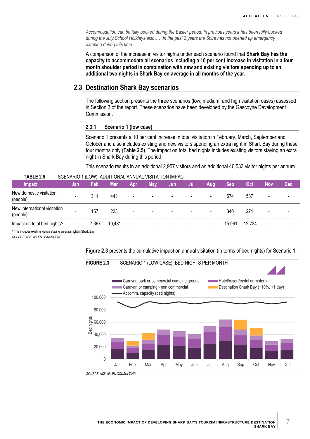*Accommodation can be fully booked during the Easter period. In previous years it has been fully booked during the July School Holidays also……in the past 2 years the Shire has not opened up emergency camping during this time.*

A comparison of the increase in visitor nights under each scenario found that **Shark Bay has the capacity to accommodate all scenarios including a 10 per cent increase in visitation in a four month shoulder period in combination with new and existing visitors spending up to an additional two nights in Shark Bay on average in all months of the year.**

## <span id="page-10-0"></span>**2.3 Destination Shark Bay scenarios**

The following section presents the three scenarios (low, medium, and high visitation cases) assessed in Section 3 of the report. These scenarios have been developed by the Gascoyne Development Commission.

#### **2.3.1 Scenario 1 (low case)**

Scenario 1 presents a 10 per cent increase in total visitation in February, March, September and October and also includes existing and new visitors spending an extra night in Shark Bay during these four months only (**[Table](#page-10-2) 2.5**). The impact on total bed nights includes existing visitors staying an extra night in Shark Bay during this period.

This scenario results in an additional 2,957 visitors and an additional 46,533 visitor nights per annum.

| Impact                                                                 | Jan                      | Feb   | <b>Mar</b> | Apr                      | <b>May</b>               | Jun                      | Jul                      | Aug                      | Sep    | Oct    | <b>Nov</b>               | <b>Dec</b> |
|------------------------------------------------------------------------|--------------------------|-------|------------|--------------------------|--------------------------|--------------------------|--------------------------|--------------------------|--------|--------|--------------------------|------------|
| New domestic visitation<br>(people)                                    | $\overline{\phantom{0}}$ | 311   | 443        | $\blacksquare$           | $\overline{\phantom{a}}$ | $\overline{\phantom{a}}$ | $\overline{\phantom{0}}$ | $\overline{\phantom{0}}$ | 674    | 537    | $\overline{\phantom{0}}$ |            |
| New international visitation<br>(people)                               | $\overline{\phantom{0}}$ | 157   | 223        | $\overline{\phantom{a}}$ | $\blacksquare$           | $\overline{\phantom{a}}$ | $\overline{\phantom{0}}$ | $\overline{\phantom{a}}$ | 340    | 271    | $\overline{\phantom{0}}$ |            |
| Impact on total bed nights <sup>^</sup>                                | -                        | 7,367 | 10,481     | $\overline{\phantom{a}}$ | $\overline{\phantom{a}}$ | $\overline{\phantom{a}}$ | $\overline{\phantom{a}}$ | $\overline{\phantom{a}}$ | 15,961 | 12,724 | $\overline{\phantom{0}}$ |            |
| ^ This includes existing visitors staying an extra night in Shark Bay. |                          |       |            |                          |                          |                          |                          |                          |        |        |                          |            |

#### <span id="page-10-2"></span>**TABLE 2.5** SCENARIO 1 (LOW): ADDITIONAL ANNUAL VISITATION IMPACT

*SOURCE: ACIL ALLEN CONSULTING*

<span id="page-10-1"></span>**[Figure](#page-10-1) 2.3** presents the cumulative impact on annual visitation (in terms of bed nights) for Scenario 1.



7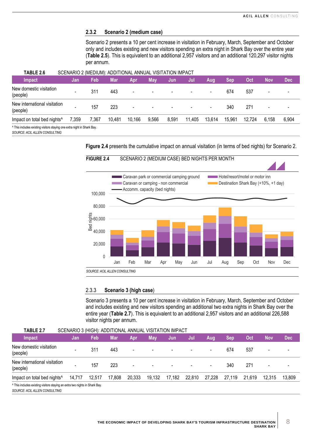#### **2.3.2 Scenario 2 (medium case)**

Scenario 2 presents a 10 per cent increase in visitation in February, March, September and October only and includes existing and new visitors spending an extra night in Shark Bay over the entire year (**[Table](#page-10-2) 2.5**). This is equivalent to an additional 2,957 visitors and an additional 120,297 visitor nights per annum.

<span id="page-11-1"></span>

| TABLE 2.6                                                                                                           | SCENARIO 2 (MEDIUM): ADDITIONAL ANNUAL VISITATION IMPACT |       |            |                          |                          |                          |                          |                          |            |        |                          |            |
|---------------------------------------------------------------------------------------------------------------------|----------------------------------------------------------|-------|------------|--------------------------|--------------------------|--------------------------|--------------------------|--------------------------|------------|--------|--------------------------|------------|
| Impact                                                                                                              | Jan                                                      | Feb   | <b>Mar</b> | Apr                      | Mav                      | Jun                      | Jul                      | Aug                      | <b>Sep</b> | Oct    | <b>Nov</b>               | <b>Dec</b> |
| New domestic visitation<br>(people)                                                                                 | $\overline{\phantom{a}}$                                 | 311   | 443        | $\overline{\phantom{a}}$ | $\overline{\phantom{a}}$ | $\overline{\phantom{a}}$ | $\overline{\phantom{0}}$ | $\overline{\phantom{0}}$ | 674        | 537    |                          |            |
| New international visitation<br>(people)                                                                            | $\overline{\phantom{a}}$                                 | 157   | 223        | $\blacksquare$           | $\overline{\phantom{a}}$ | $\overline{\phantom{0}}$ | $\overline{\phantom{a}}$ | $\blacksquare$           | 340        | 271    | $\overline{\phantom{a}}$ |            |
| Impact on total bed nights <sup>^</sup>                                                                             | 7,359                                                    | 7,367 | 10,481     | 10,166                   | 9,566                    | 8,591                    | 11.405                   | 13,614                   | 15,961     | 12,724 | 6.158                    | 6,904      |
| <sup>^</sup> This includes existing visitors staying one extra night in Shark Bay.<br>SOURCE: ACIL ALLEN CONSULTING |                                                          |       |            |                          |                          |                          |                          |                          |            |        |                          |            |

**[Figure](#page-11-0) 2.4** presents the cumulative impact on annual visitation (in terms of bed nights) for Scenario 2.

<span id="page-11-0"></span>

#### 2.3.3 **Scenario 3 (high case**)

Scenario 3 presents a 10 per cent increase in visitation in February, March, September and October and includes existing and new visitors spending an additional two extra nights in Shark Bay over the entire year (**[Table](#page-11-2) 2.7**). This is equivalent to an additional 2,957 visitors and an additional 226,588 visitor nights per annum.

<span id="page-11-2"></span>

| <b>TABLE 2.7</b>                                                                       | SCENARIO 3 (HIGH): ADDITIONAL ANNUAL VISITATION IMPACT |        |            |                          |        |        |                          |                          |            |            |        |            |
|----------------------------------------------------------------------------------------|--------------------------------------------------------|--------|------------|--------------------------|--------|--------|--------------------------|--------------------------|------------|------------|--------|------------|
| Impact                                                                                 | Jan                                                    | Feb    | <b>Mar</b> | <b>Apr</b>               | Mav.   | Jun    | Jul                      | Aug                      | <b>Sep</b> | <b>Oct</b> | Nov    | <b>Dec</b> |
| New domestic visitation<br>(people)                                                    | $\overline{\phantom{a}}$                               | 311    | 443        | $\overline{\phantom{a}}$ |        |        | $\overline{\phantom{a}}$ | $\overline{\phantom{a}}$ | 674        | 537        |        |            |
| New international visitation<br>(people)                                               | $\overline{\phantom{a}}$                               | 157    | 223        | $\overline{\phantom{a}}$ |        |        |                          | $\blacksquare$           | 340        | 271        |        |            |
| Impact on total bed nights <sup>^</sup>                                                | 14,717                                                 | 12,517 | 17,808     | 20,333                   | 19,132 | 17,182 | 22,810                   | 27,228                   | 27.119     | 21,619     | 12.315 | 13,809     |
| <sup>1</sup> This includes existing visitors staying an extra two nights in Shark Bay. |                                                        |        |            |                          |        |        |                          |                          |            |            |        |            |

*SOURCE: ACIL ALLEN CONSULTING*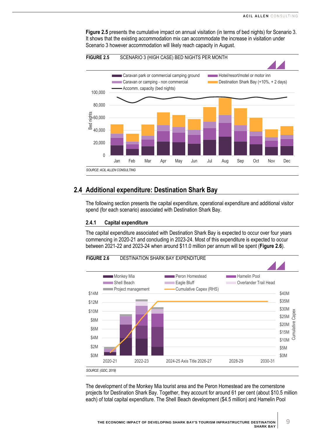**[Figure](#page-12-1) 2.5** presents the cumulative impact on annual visitation (in terms of bed nights) for Scenario 3. It shows that the existing accommodation mix can accommodate the increase in visitation under Scenario 3 however accommodation will likely reach capacity in August.



<span id="page-12-1"></span>**FIGURE 2.5** SCENARIO 3 (HIGH CASE) BED NIGHTS PER MONTH

## <span id="page-12-0"></span>**2.4 Additional expenditure: Destination Shark Bay**

The following section presents the capital expenditure, operational expenditure and additional visitor spend (for each scenario) associated with Destination Shark Bay.

#### **2.4.1 Capital expenditure**

The capital expenditure associated with Destination Shark Bay is expected to occur over four years commencing in 2020-21 and concluding in 2023-24. Most of this expenditure is expected to occur between 2021-22 and 2023-24 when around \$11.0 million per annum will be spent (**[Figure](#page-12-2) 2.6**).

<span id="page-12-2"></span>

The development of the Monkey Mia tourist area and the Peron Homestead are the cornerstone projects for Destination Shark Bay. Together, they account for around 61 per cent (about \$10.5 million each) of total capital expenditure. The Shell Beach development (\$4.5 million) and Hamelin Pool

9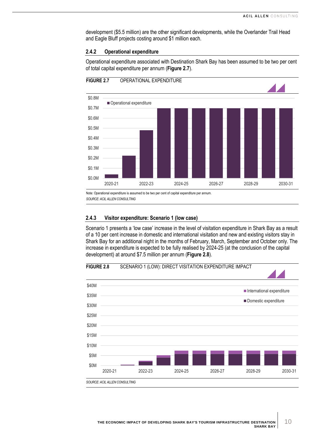development (\$5.5 million) are the other significant developments, while the Overlander Trail Head and Eagle Bluff projects costing around \$1 million each.

#### **2.4.2 Operational expenditure**

Operational expenditure associated with Destination Shark Bay has been assumed to be two per cent of total capital expenditure per annum (**[Figure](#page-13-0) 2.7**).

<span id="page-13-0"></span>

Note: Operational expenditure is assumed to be two per cent of capital expenditure per annum. *SOURCE: ACIL ALLEN CONSULTING*

#### **2.4.3 Visitor expenditure: Scenario 1 (low case)**

Scenario 1 presents a 'low case' increase in the level of visitation expenditure in Shark Bay as a result of a 10 per cent increase in domestic and international visitation and new and existing visitors stay in Shark Bay for an additional night in the months of February, March, September and October only. The increase in expenditure is expected to be fully realised by 2024-25 (at the conclusion of the capital development) at around \$7.5 million per annum (**[Figure](#page-13-1) 2.8**).

<span id="page-13-1"></span>

10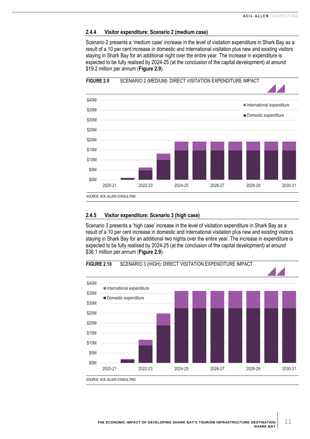#### **2.4.4 Visitor expenditure: Scenario 2 (medium case)**

Scenario 2 presents a 'medium case' increase in the level of visitation expenditure in Shark Bay as a result of a 10 per cent increase in domestic and international visitation plus new and existing visitors staying in Shark Bay for an additional night over the entire year. The increase in expenditure is expected to be fully realised by 2024-25 (at the conclusion of the capital development) at around \$19.2 million per annum (**[Figure](#page-14-0) 2.9**).



#### <span id="page-14-0"></span>**FIGURE 2.9** SCENARIO 2 (MEDIUM): DIRECT VISITATION EXPENDITURE IMPACT

#### **2.4.5 Visitor expenditure: Scenario 3 (high case)**

Scenario 3 presents a 'high case' increase in the level of visitation expenditure in Shark Bay as a result of a 10 per cent increase in domestic and international visitation plus new and existing visitors staying in Shark Bay for an additional two nights over the entire year. The increase in expenditure is expected to be fully realised by 2024-25 (at the conclusion of the capital development) at around \$36.1 million per annum (**[Figure](#page-14-0) 2.9**).



<span id="page-14-1"></span>**FIGURE 2.10** SCENARIO 3 (HIGH): DIRECT VISITATION EXPENDITURE IMPACT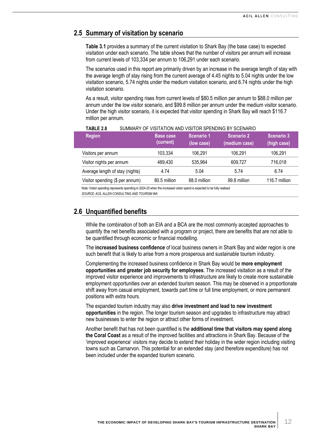## <span id="page-15-0"></span>**2.5 Summary of visitation by scenario**

**[Table](#page-17-1) 3.1** provides a summary of the current visitation to Shark Bay (the base case) to expected visitation under each scenario. The table shows that the number of visitors per annum will increase from current levels of 103,334 per annum to 106,291 under each scenario.

The scenarios used in this report are primarily driven by an increase in the average length of stay with the average length of stay rising from the current average of 4.45 nights to 5.04 nights under the low visitation scenario, 5.74 nights under the medium visitation scenario, and 6.74 nights under the high visitation scenario.

As a result, visitor spending rises from current levels of \$80.5 million per annum to \$88.0 million per annum under the low visitor scenario, and \$99.8 million per annum under the medium visitor scenario. Under the high visitor scenario, it is expected that visitor spending in Shark Bay will reach \$116.7 million per annum.

| <b>Region</b>                   | <b>Base case</b><br>(current) | Scenario 1<br>(low case) | <b>Scenario 2</b><br>(medium case) | <b>Scenario 3</b><br>(high case) |
|---------------------------------|-------------------------------|--------------------------|------------------------------------|----------------------------------|
| Visitors per annum              | 103,334                       | 106.291                  | 106,291                            | 106.291                          |
| Visitor nights per annum        | 489.430                       | 535.964                  | 609,727                            | 716,018                          |
| Average length of stay (nights) | 4.74                          | 5.04                     | 5.74                               | 6.74                             |
| Visitor spending (\$ per annum) | 80.5 million                  | 88.0 million             | 99.8 million                       | 116.7 million                    |

#### <span id="page-15-2"></span>**TABLE 2.8** SUMMARY OF VISITATION AND VISITOR SPENDING BY SCENARIO

Note: Visitor spending represents spending in 2024-25 when the increased visitor spend is expected to be fully realised. *SOURCE: ACIL ALLEN CONSULTING AND TOURISM WA*

<span id="page-15-1"></span>

## **2.6 Unquantified benefits**

While the combination of both an EIA and a BCA are the most commonly accepted approaches to quantify the net benefits associated with a program or project, there are benefits that are not able to be quantified through economic or financial modelling.

The **increased business confidence** of local business owners in Shark Bay and wider region is one such benefit that is likely to arise from a more prosperous and sustainable tourism industry.

Complementing the increased business confidence in Shark Bay would be **more employment opportunities and greater job security for employees**. The increased visitation as a result of the improved visitor experience and improvements to infrastructure are likely to create more sustainable employment opportunities over an extended tourism season. This may be observed in a proportionate shift away from casual employment, towards part time or full time employment, or more permanent positions with extra hours.

The expanded tourism industry may also **drive investment and lead to new investment opportunities** in the region. The longer tourism season and upgrades to infrastructure may attract new businesses to enter the region or attract other forms of investment.

Another benefit that has not been quantified is the **additional time that visitors may spend along the Coral Coast** as a result of the improved facilities and attractions in Shark Bay. Because of the 'improved experience' visitors may decide to extend their holiday in the wider region including visiting towns such as Carnarvon. This potential for an extended stay (and therefore expenditure) has not been included under the expanded tourism scenario.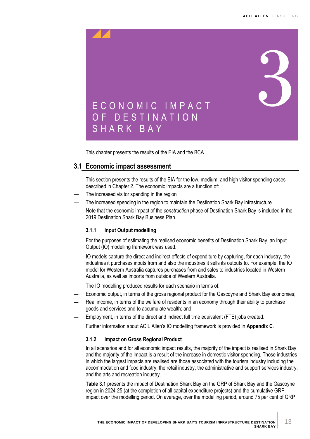<span id="page-16-0"></span>

<span id="page-16-2"></span><span id="page-16-1"></span>This chapter presents the results of the EIA and the BCA.

## **3.1 Economic impact assessment**

This section presents the results of the EIA for the low, medium, and high visitor spending cases described in Chapter 2. The economic impacts are a function of:

- The increased visitor spending in the region
- The increased spending in the region to maintain the Destination Shark Bay infrastructure. Note that the economic impact of the *construction* phase of Destination Shark Bay is included in the 2019 Destination Shark Bay Business Plan.

## **3.1.1 Input Output modelling**

For the purposes of estimating the realised economic benefits of Destination Shark Bay, an Input Output (IO) modelling framework was used.

IO models capture the direct and indirect effects of expenditure by capturing, for each industry, the industries it purchases inputs from and also the industries it sells its outputs to. For example, the IO model for Western Australia captures purchases from and sales to industries located in Western Australia, as well as imports from outside of Western Australia.

The IO modelling produced results for each scenario in terms of:

- Economic output, in terms of the gross regional product for the Gascoyne and Shark Bay economies;
- Real income, in terms of the welfare of residents in an economy through their ability to purchase goods and services and to accumulate wealth; and
- Employment, in terms of the direct and indirect full time equivalent (FTE) jobs created.

Further information about ACIL Allen's IO modelling framework is provided in **Appendix C**.

#### **3.1.2 Impact on Gross Regional Product**

In all scenarios and for all economic impact results, the majority of the impact is realised in Shark Bay and the majority of the impact is a result of the increase in domestic visitor spending. Those industries in which the largest impacts are realised are those associated with the tourism industry including the accommodation and food industry, the retail industry, the administrative and support services industry, and the arts and recreation industry.

**[Table](#page-17-1) 3.1** presents the impact of Destination Shark Bay on the GRP of Shark Bay and the Gascoyne region in 2024-25 (at the completion of all capital expenditure projects) and the cumulative GRP impact over the modelling period. On average, over the modelling period, around 75 per cent of GRP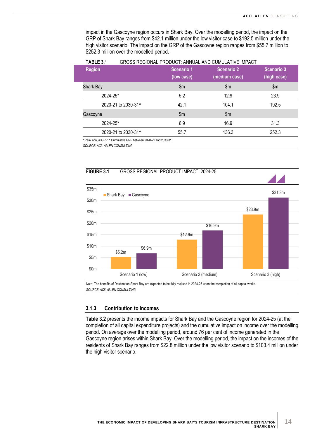impact in the Gascoyne region occurs in Shark Bay. Over the modelling period, the impact on the GRP of Shark Bay ranges from \$42.1 million under the low visitor case to \$192.5 million under the high visitor scenario. The impact on the GRP of the Gascoyne region ranges from \$55.7 million to \$252.3 million over the modelled period.

| . <i>.</i>          |                          |                                    |                           |  |  |
|---------------------|--------------------------|------------------------------------|---------------------------|--|--|
| <b>Region</b>       | Scenario 1<br>(low case) | <b>Scenario 2</b><br>(medium case) | Scenario 3<br>(high case) |  |  |
| Shark Bay           | $\mathsf{m}$             | $\mathsf{Sm}$                      | $\mathsf{m}$              |  |  |
| 2024-25*            | 5.2                      | 12.9                               | 23.9                      |  |  |
| 2020-21 to 2030-31^ | 42.1                     | 104.1                              | 192.5                     |  |  |
| Gascoyne            | \$m                      | $\mathsf{m}$                       |                           |  |  |
| 2024-25*            | 6.9                      | 16.9                               | 31.3                      |  |  |
| 2020-21 to 2030-31^ | 55.7                     | 136.3                              | 252.3                     |  |  |
|                     |                          |                                    |                           |  |  |

<span id="page-17-1"></span>**TABLE 3.1** GROSS REGIONAL PRODUCT: ANNUAL AND CUMULATIVE IMPACT

\* Peak annual GRP. ^ Cumulative GRP between 2020-21 and 2030-31.

*SOURCE: ACIL ALLEN CONSULTING*

<span id="page-17-0"></span>



Note: The benefits of Destination Shark Bay are expected to be fully realised in 2024-25 upon the completion of all capital works. *SOURCE: ACIL ALLEN CONSULTING*

#### **3.1.3 Contribution to incomes**

**[Table](#page-18-1) 3.2** presents the income impacts for Shark Bay and the Gascoyne region for 2024-25 (at the completion of all capital expenditure projects) and the cumulative impact on income over the modelling period. On average over the modelling period, around 76 per cent of income generated in the Gascoyne region arises within Shark Bay. Over the modelling period, the impact on the incomes of the residents of Shark Bay ranges from \$22.8 million under the low visitor scenario to \$103.4 million under the high visitor scenario.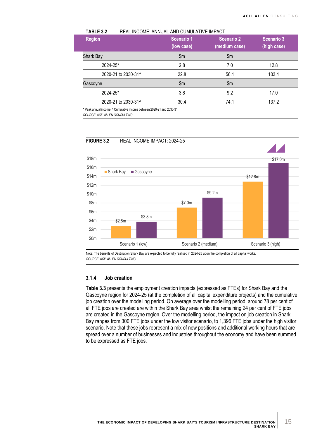| Scenario 1<br>(low case) | <b>Scenario 2</b><br>(medium case) | <b>Scenario 3</b><br>(high case) |
|--------------------------|------------------------------------|----------------------------------|
| $\mathsf{Sm}$            | $\mathsf{Sm}$                      |                                  |
| 2.8                      | 7.0                                | 12.8                             |
| 22.8                     | 56.1                               | 103.4                            |
| \$m                      | \$m\$                              |                                  |
| 3.8                      | 9.2                                | 17.0                             |
| 30.4                     | 74.1                               | 137.2                            |
|                          |                                    |                                  |

<span id="page-18-1"></span>**TABLE 3.2** REAL INCOME: ANNUAL AND CUMULATIVE IMPACT

\* Peak annual income. ^ Cumulative income between 2020-21 and 2030-31.

*SOURCE: ACIL ALLEN CONSULTING*



<span id="page-18-0"></span>**FIGURE 3.2** REAL INCOME IMPACT: 2024-25

Note: The benefits of Destination Shark Bay are expected to be fully realised in 2024-25 upon the completion of all capital works. *SOURCE: ACIL ALLEN CONSULTING*

#### **3.1.4 Job creation**

**[Table](#page-19-2) 3.3** presents the employment creation impacts (expressed as FTEs) for Shark Bay and the Gascoyne region for 2024-25 (at the completion of all capital expenditure projects) and the cumulative job creation over the modelling period. On average over the modelling period, around 78 per cent of all FTE jobs are created are within the Shark Bay area whilst the remaining 24 per cent of FTE jobs are created in the Gascoyne region. Over the modelling period, the impact on job creation in Shark Bay ranges from 300 FTE jobs under the low visitor scenario, to 1,396 FTE jobs under the high visitor scenario. Note that these jobs represent a mix of new positions and additional working hours that are spread over a number of businesses and industries throughout the economy and have been summed to be expressed as FTE jobs.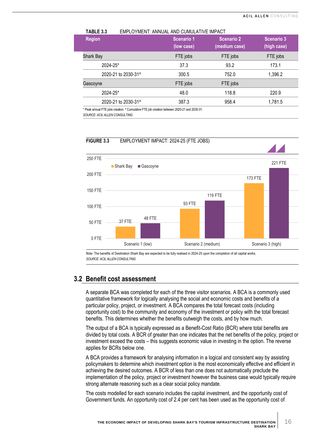| <b>Region</b>       | Scenario 1<br>(low case) | <b>Scenario 2</b><br>(medium case) | Scenario 3<br>(high case) |
|---------------------|--------------------------|------------------------------------|---------------------------|
| Shark Bay           | FTE jobs                 | FTE jobs                           | FTE jobs                  |
| 2024-25*            | 37.3                     | 93.2                               | 173.1                     |
| 2020-21 to 2030-31^ | 300.5                    | 752.0                              | 1,396.2                   |
| Gascoyne            | FTE jobs                 | FTE jobs                           |                           |
| 2024-25*            | 48.0                     | 118.8                              | 220.9                     |
| 2020-21 to 2030-31^ | 387.3                    | 958.4                              | 1,781.5                   |

<span id="page-19-2"></span>**TABLE 3.3** EMPLOYMENT: ANNUAL AND CUMULATIVE IMPACT

Peak annual FTE jobs creation. ^ Cumulative FTE job creation between 2020-21 and 2030-31 *SOURCE: ACIL ALLEN CONSULTING*

<span id="page-19-1"></span>**FIGURE 3.3** EMPLOYMENT IMPACT: 2024-25 (FTE JOBS) 37 FTE 93 FTE 173 FTE 48 FTE 119 FTE 221 FTE 0 FTE 50 FTE 100 FTE 150 FTE 200 FTE 250 FTE Scenario 1 (low) Scenario 2 (medium) Scenario 3 (high) ■ Shark Bay ■ Gascoyne

Note: The benefits of Destination Shark Bay are expected to be fully realised in 2024-25 upon the completion of all capital works. *SOURCE: ACIL ALLEN CONSULTING*

## <span id="page-19-0"></span>**3.2 Benefit cost assessment**

A separate BCA was completed for each of the three visitor scenarios. A BCA is a commonly used quantitative framework for logically analysing the social and economic costs and benefits of a particular policy, project, or investment. A BCA compares the total forecast costs (including opportunity cost) to the community and economy of the investment or policy with the total forecast benefits. This determines whether the benefits outweigh the costs, and by how much.

The output of a BCA is typically expressed as a Benefit-Cost Ratio (BCR) where total benefits are divided by total costs. A BCR of greater than one indicates that the net benefits of the policy, project or investment exceed the costs – this suggests economic value in investing in the option. The reverse applies for BCRs below one.

A BCA provides a framework for analysing information in a logical and consistent way by assisting policymakers to determine which investment option is the most economically effective and efficient in achieving the desired outcomes. A BCR of less than one does not automatically preclude the implementation of the policy, project or investment however the business case would typically require strong alternate reasoning such as a clear social policy mandate.

The costs modelled for each scenario includes the capital investment, and the opportunity cost of Government funds. An opportunity cost of 2.4 per cent has been used as the opportunity cost of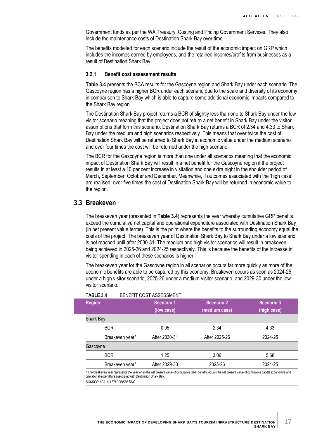Government funds as per the WA Treasury, Costing and Pricing Government Services. They also include the maintenance costs of Destination Shark Bay over time.

The benefits modelled for each scenario include the result of the economic impact on GRP which includes the incomes earned by employees, and the retained incomes/profits from businesses as a result of Destination Shark Bay.

#### **3.2.1 Benefit cost assessment results**

**[Table](#page-20-1) 3.4** presents the BCA results for the Gascoyne region and Shark Bay under each scenario. The Gascoyne region has a higher BCR under each scenario due to the scale and diversity of its economy in comparison to Shark Bay which is able to capture some additional economic impacts compared to the Shark Bay region.

The Destination Shark Bay project returns a BCR of slightly less than one to Shark Bay under the low visitor scenario meaning that the project does not return a net benefit in Shark Bay under the visitor assumptions that form this scenario. Destination Shark Bay returns a BCR of 2.34 and 4.33 to Shark Bay under the medium and high scenarios respectively. This means that over twice the cost of Destination Shark Bay will be returned to Shark Bay in economic value under the medium scenario and over four times the cost will be returned under the high scenario.

The BCR for the Gascoyne region is more than one under all scenarios meaning that the economic impact of Destination Shark Bay will result in a net benefit for the Gascoyne region if the project results in at least a 10 per cent increase in visitation and one extra night in the shoulder period of March, September, October and December. Meanwhile, if outcomes associated with the 'high case' are realised, over five times the cost of Destination Shark Bay will be returned in economic value to the region.

## <span id="page-20-0"></span>**3.3 Breakeven**

The breakeven year (presented in **[Table](#page-20-1) 3.4**) represents the year whereby cumulative GRP benefits exceed the cumulative net capital and operational expenditure associated with Destination Shark Bay (in net present value terms). This is the point where the benefits to the surrounding economy equal the costs of the project. The breakeven year of Destination Shark Bay to Shark Bay under a low scenario is not reached until after 2030-31. The medium and high visitor scenarios will result in breakeven being achieved in 2025-26 and 2024-25 respectively. This is because the benefits of the increase in visitor spending in each of these scenarios is higher.

The breakeven year for the Gascoyne region in all scenarios occurs far more quickly as more of the economic benefits are able to be captured by this economy. Breakeven occurs as soon as 2024-25 under a high visitor scenario, 2025-26 under a medium visitor scenario, and 2029-30 under the low visitor scenario.

<span id="page-20-1"></span>

| TABLE 3.4        |                             | BENEFIT COST ASSESSMENT  |                             |                           |
|------------------|-----------------------------|--------------------------|-----------------------------|---------------------------|
| <b>Region</b>    |                             | Scenario 1<br>(low case) | Scenario 2<br>(medium case) | Scenario 3<br>(high case) |
| <b>Shark Bay</b> |                             |                          |                             |                           |
| <b>BCR</b>       |                             | 0.95                     | 2.34                        | 4.33                      |
|                  | Breakeven year <sup>^</sup> | After 2030-31            | After 2025-26               | 2024-25                   |
| Gascoyne         |                             |                          |                             |                           |
| <b>BCR</b>       |                             | 1.25                     | 3.06                        | 5.68                      |
|                  | Breakeven year <sup>^</sup> | After 2029-30            | 2025-26                     | 2024-25                   |

^ The breakeven year represents the year when the net present value of cumulative GRP benefits equals the net present value of cumulative capital expenditure and operational expenditure associated with Destination Shark Bay. *SOURCE: ACIL ALLEN CONSULTING*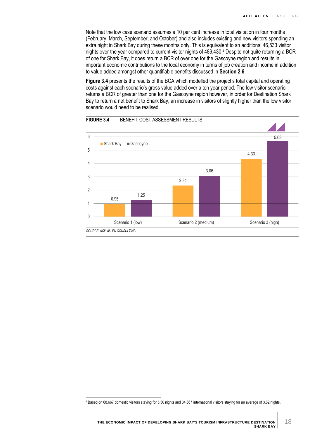Note that the low case scenario assumes a 10 per cent increase in total visitation in four months (February, March, September, and October) and also includes existing and new visitors spending an extra night in Shark Bay during these months only. This is equivalent to an additional 46,533 visitor nights over the year compared to current visitor nights of 489,430. <sup>4</sup> Despite not quite returning a BCR of one for Shark Bay, it does return a BCR of over one for the Gascoyne region and results in important economic contributions to the local economy in terms of job creation and income in addition to value added amongst other quantifiable benefits discussed in **Section [2.6](#page-15-1)**.

**[Figure](#page-21-0) 3.4** presents the results of the BCA which modelled the project's total capital and operating costs against each scenario's gross value added over a ten year period. The low visitor scenario returns a BCR of greater than one for the Gascoyne region however, in order for Destination Shark Bay to return a net benefit to Shark Bay, an increase in visitors of slightly higher than the low visitor scenario would need to be realised.



<span id="page-21-0"></span>**FIGURE 3.4** BENEFIT COST ASSESSMENT RESULTS

<sup>4</sup> Based on 68,667 domestic visitors staying for 5.30 nights and 34,667 international visitors staying for an average of 3.62 nights.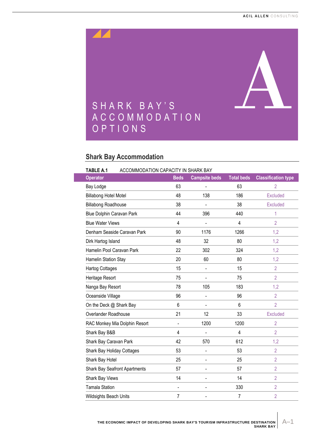<span id="page-22-0"></span>

## <span id="page-22-2"></span><span id="page-22-1"></span>**Shark Bay Accommodation**

<span id="page-22-3"></span>

| <b>TABLE A.1</b><br>ACCOMMODATION CAPACITY IN SHARK BAY |                                      |                |                      |                   |                            |
|---------------------------------------------------------|--------------------------------------|----------------|----------------------|-------------------|----------------------------|
| <b>Operator</b>                                         |                                      | <b>Beds</b>    | <b>Campsite beds</b> | <b>Total beds</b> | <b>Classification type</b> |
| Bay Lodge                                               |                                      | 63             | $\blacksquare$       | 63                | $\overline{2}$             |
| <b>Billabong Hotel Motel</b>                            |                                      | 48             | 138                  | 186               | <b>Excluded</b>            |
| <b>Billabong Roadhouse</b>                              |                                      | 38             |                      | 38                | <b>Excluded</b>            |
| Blue Dolphin Caravan Park                               |                                      | 44             | 396                  | 440               | 1                          |
| <b>Blue Water Views</b>                                 |                                      | $\overline{4}$ |                      | $\overline{4}$    | $\overline{2}$             |
|                                                         | Denham Seaside Caravan Park          | 90             | 1176                 | 1266              | 1,2                        |
| Dirk Hartog Island                                      |                                      | 48             | 32                   | 80                | 1,2                        |
| Hamelin Pool Caravan Park                               |                                      | 22             | 302                  | 324               | 1,2                        |
| Hamelin Station Stay                                    |                                      | 20             | 60                   | 80                | 1,2                        |
| <b>Hartog Cottages</b>                                  |                                      | 15             | $\blacksquare$       | 15                | $\overline{2}$             |
| Heritage Resort                                         |                                      | 75             | $\blacksquare$       | 75                | $\overline{2}$             |
| Nanga Bay Resort                                        |                                      | 78             | 105                  | 183               | 1,2                        |
| Oceanside Village                                       |                                      | 96             | $\blacksquare$       | 96                | $\overline{2}$             |
| On the Deck @ Shark Bay                                 |                                      | 6              | $\blacksquare$       | 6                 | $\overline{2}$             |
| Overlander Roadhouse                                    |                                      | 21             | 12                   | 33                | <b>Excluded</b>            |
|                                                         | RAC Monkey Mia Dolphin Resort        | $\overline{a}$ | 1200                 | 1200              | $\overline{2}$             |
| Shark Bay B&B                                           |                                      | $\overline{4}$ |                      | 4                 | $\overline{2}$             |
| Shark Bay Caravan Park                                  |                                      | 42             | 570                  | 612               | 1,2                        |
| Shark Bay Holiday Cottages                              |                                      | 53             | ÷,                   | 53                | $\overline{2}$             |
| Shark Bay Hotel                                         |                                      | 25             | $\blacksquare$       | 25                | $\overline{2}$             |
|                                                         | <b>Shark Bay Seafront Apartments</b> | 57             | $\blacksquare$       | 57                | $\overline{2}$             |
| Shark Bay Views                                         |                                      | 14             | $\blacksquare$       | 14                | $\overline{2}$             |
| <b>Tamala Station</b>                                   |                                      | $\blacksquare$ | $\blacksquare$       | 330               | $\overline{2}$             |
| Wildsights Beach Units                                  |                                      | $\overline{7}$ | $\blacksquare$       | $\overline{7}$    | $\overline{2}$             |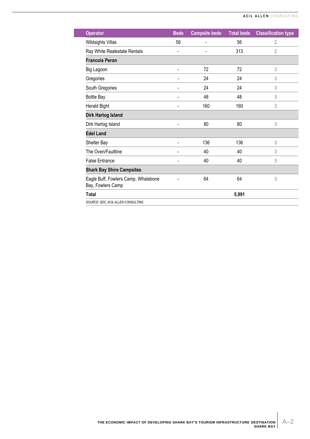| <b>Operator</b>                                          | <b>Beds</b>              | <b>Campsite beds</b> | <b>Total beds</b> | <b>Classification type</b> |
|----------------------------------------------------------|--------------------------|----------------------|-------------------|----------------------------|
| <b>Wildsights Villas</b>                                 | 56                       | Ĭ.                   | 56                | $\overline{2}$             |
| Ray White Realestate Rentals                             | $\overline{\phantom{a}}$ | Ĭ.                   | 313               | $\overline{2}$             |
| <b>Francois Peron</b>                                    |                          |                      |                   |                            |
| Big Lagoon                                               |                          | 72                   | 72                | 3                          |
| Gregories                                                |                          | 24                   | 24                | 3                          |
| South Gregories                                          |                          | 24                   | 24                | 3                          |
| <b>Bottle Bay</b>                                        |                          | 48                   | 48                | 3                          |
| Herald Bight                                             |                          | 160                  | 160               | 3                          |
| <b>Dirk Hartog Island</b>                                |                          |                      |                   |                            |
| Dirk Hartog Island                                       |                          | 80                   | 80                | 3                          |
| <b>Edel Land</b>                                         |                          |                      |                   |                            |
| Shelter Bay                                              |                          | 136                  | 136               | 3                          |
| The Oven/Faultline                                       |                          | 40                   | 40                | 3                          |
| <b>False Entrance</b>                                    | $\blacksquare$           | 40                   | 40                | 3                          |
| <b>Shark Bay Shire Campsites</b>                         |                          |                      |                   |                            |
| Eagle Buff, Fowlers Camp, Whalebone<br>Bay, Fowlers Camp |                          | 64                   | 64                | 3                          |
| <b>Total</b>                                             |                          |                      | 5,991             |                            |
| SOURCE: GDC, ACIL ALLEN CONSULTING                       |                          |                      |                   |                            |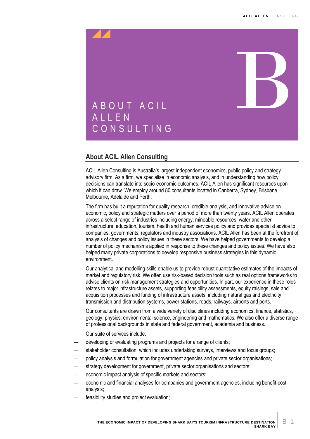<span id="page-24-0"></span>

## <span id="page-24-2"></span><span id="page-24-1"></span>**About ACIL Allen Consulting**

ACIL Allen Consulting is Australia's largest independent economics, public policy and strategy advisory firm. As a firm, we specialise in economic analysis, and in understanding how policy decisions can translate into socio-economic outcomes. ACIL Allen has significant resources upon which it can draw. We employ around 80 consultants located in Canberra, Sydney, Brisbane, Melbourne, Adelaide and Perth.

The firm has built a reputation for quality research, credible analysis, and innovative advice on economic, policy and strategic matters over a period of more than twenty years. ACIL Allen operates across a select range of industries including energy, mineable resources, water and other infrastructure, education, tourism, health and human services policy and provides specialist advice to companies, governments, regulators and industry associations. ACIL Allen has been at the forefront of analysis of changes and policy issues in these sectors. We have helped governments to develop a number of policy mechanisms applied in response to these changes and policy issues. We have also helped many private corporations to develop responsive business strategies in this dynamic environment.

Our analytical and modelling skills enable us to provide robust quantitative estimates of the impacts of market and regulatory risk. We often use risk-based decision tools such as real options frameworks to advise clients on risk management strategies and opportunities. In part, our experience in these roles relates to major infrastructure assets, supporting feasibility assessments, equity raisings, sale and acquisition processes and funding of infrastructure assets, including natural gas and electricity transmission and distribution systems, power stations, roads, railways, airports and ports.

Our consultants are drawn from a wide variety of disciplines including economics, finance, statistics, geology, physics, environmental science, engineering and mathematics. We also offer a diverse range of professional backgrounds in state and federal government, academia and business.

Our suite of services include:

- developing or evaluating programs and projects for a range of clients;
- stakeholder consultation, which includes undertaking surveys, interviews and focus groups;
- policy analysis and formulation for government agencies and private sector organisations;
- strategy development for government, private sector organisations and sectors;
- economic impact analysis of specific markets and sectors;
- economic and financial analyses for companies and government agencies, including benefit-cost analysis;
- feasibility studies and project evaluation;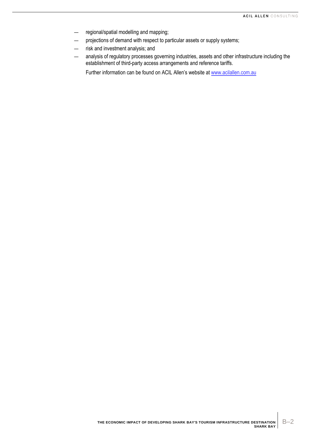- regional/spatial modelling and mapping;
- projections of demand with respect to particular assets or supply systems;
- risk and investment analysis; and
- analysis of regulatory processes governing industries, assets and other infrastructure including the establishment of third-party access arrangements and reference tariffs.

Further information can be found on ACIL Allen's website a[t www.acilallen.com.au](http://www.acilallen.com.au/)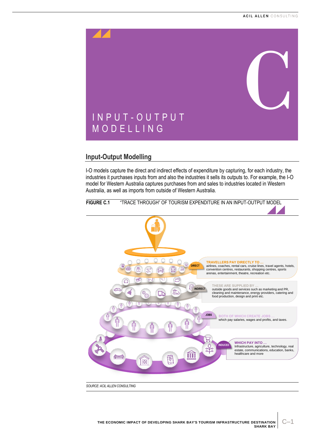<span id="page-26-0"></span>

## <span id="page-26-2"></span><span id="page-26-1"></span>**Input-Output Modelling**

I-O models capture the direct and indirect effects of expenditure by capturing, for each industry, the industries it purchases inputs from and also the industries it sells its outputs to. For example, the I-O model for Western Australia captures purchases from and sales to industries located in Western Australia, as well as imports from outside of Western Australia.

<span id="page-26-3"></span>

*SOURCE: ACIL ALLEN CONSULTING*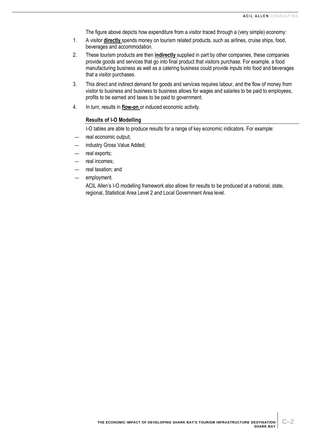The figure above depicts how expenditure from a visitor traced through a (very simple) economy:

- 1. A visitor **directly** spends money on tourism related products, such as airlines, cruise ships, food, beverages and accommodation.
- 2. These tourism products are then **indirectly** supplied in part by other companies, these companies provide goods and services that go into final product that visitors purchase. For example, a food manufacturing business as well as a catering business could provide inputs into food and beverages that a visitor purchases.
- 3. This direct and indirect demand for goods and services requires labour, and the flow of money from visitor to business and business to business allows for wages and salaries to be paid to employees, profits to be earned and taxes to be paid to government.
- 4. In turn, results in **flow-on** or induced economic activity.

#### **Results of I-O Modelling**

I-O tables are able to produce results for a range of key economic indicators. For example:

- real economic output;
- industry Gross Value Added;
- real exports;
- real incomes;
- real taxation; and
- employment.

ACIL Allen's I-O modelling framework also allows for results to be produced at a national, state, regional, Statistical Area Level 2 and Local Government Area level.